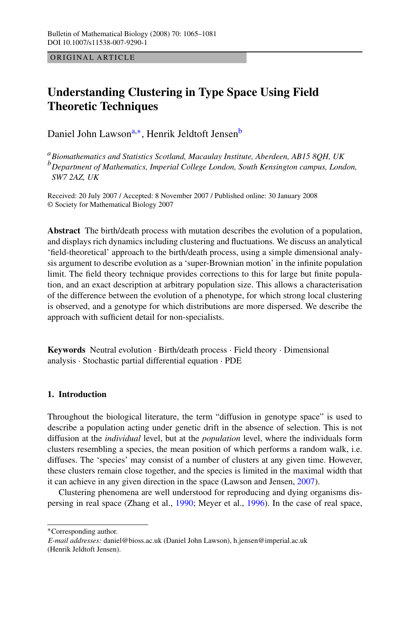ORIGINAL ARTICLE

# **Understanding Clustering in Type Space Using Field Theoretic Techniques**

Daniel John Lawson<sup>a,∗</sup>, Henrik Jeldtoft Jensen<sup>b</sup>

<sup>a</sup>*Biomathematics and Statistics Scotland, Macaulay Institute, Aberdeen, AB15 8QH, UK* <sup>b</sup>*Department of Mathematics, Imperial College London, South Kensington campus, London, SW7 2AZ, UK*

Received: 20 July 2007 / Accepted: 8 November 2007 / Published online: 30 January 2008 © Society for Mathematical Biology 2007

**Abstract** The birth/death process with mutation describes the evolution of a population, and displays rich dynamics including clustering and fluctuations. We discuss an analytical 'field-theoretical' approach to the birth/death process, using a simple dimensional analysis argument to describe evolution as a 'super-Brownian motion' in the infinite population limit. The field theory technique provides corrections to this for large but finite population, and an exact description at arbitrary population size. This allows a characterisation of the difference between the evolution of a phenotype, for which strong local clustering is observed, and a genotype for which distributions are more dispersed. We describe the approach with sufficient detail for non-specialists.

**Keywords** Neutral evolution · Birth/death process · Field theory · Dimensional analysis · Stochastic partial differential equation · PDE

# **1. Introduction**

Throughout the biological literature, the term "diffusion in genotype space" is used to describe a population acting under genetic drift in the absence of selection. This is not diffusion at the *individual* level, but at the *population* level, where the individuals form clusters resembling a species, the mean position of which performs a random walk, i.e. diffuses. The 'species' may consist of a number of clusters at any given time. However, these clusters remain close together, and the species is limited in the maximal width that it can achieve in any given direction in the space (Lawson and Jensen, [2007\)](#page-16-0).

Clustering phenomena are well understood for reproducing and dying organisms dispersing in real space (Zhang et al., [1990;](#page-16-0) Meyer et al., [1996](#page-16-0)). In the case of real space,

<sup>∗</sup>Corresponding author.

*E-mail addresses:* daniel@bioss.ac.uk (Daniel John Lawson), h.jensen@imperial.ac.uk (Henrik Jeldtoft Jensen).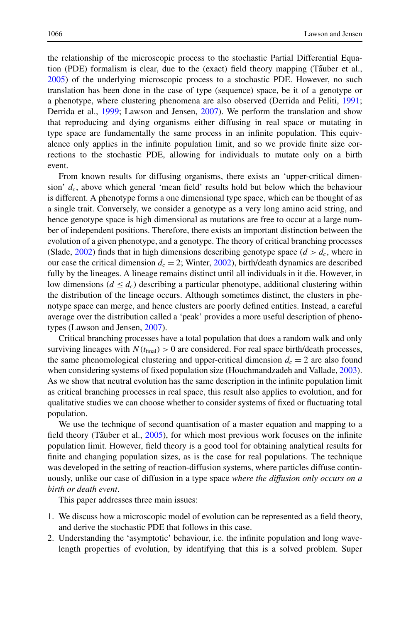the relationship of the microscopic process to the stochastic Partial Differential Equation (PDE) formalism is clear, due to the (exact) field theory mapping (Tauber et al., [2005\)](#page-16-0) of the underlying microscopic process to a stochastic PDE. However, no such translation has been done in the case of type (sequence) space, be it of a genotype or a phenotype, where clustering phenomena are also observed (Derrida and Peliti, [1991;](#page-15-0) Derrida et al., [1999](#page-15-0); Lawson and Jensen, [2007\)](#page-16-0). We perform the translation and show that reproducing and dying organisms either diffusing in real space or mutating in type space are fundamentally the same process in an infinite population. This equivalence only applies in the infinite population limit, and so we provide finite size corrections to the stochastic PDE, allowing for individuals to mutate only on a birth event.

From known results for diffusing organisms, there exists an 'upper-critical dimension'  $d_c$ , above which general 'mean field' results hold but below which the behaviour is different. A phenotype forms a one dimensional type space, which can be thought of as a single trait. Conversely, we consider a genotype as a very long amino acid string, and hence genotype space is high dimensional as mutations are free to occur at a large number of independent positions. Therefore, there exists an important distinction between the evolution of a given phenotype, and a genotype. The theory of critical branching processes (Slade, [2002\)](#page-16-0) finds that in high dimensions describing genotype space  $(d > d_c)$ , where in our case the critical dimension  $d_c = 2$ ; Winter, [2002](#page-16-0)), birth/death dynamics are described fully by the lineages. A lineage remains distinct until all individuals in it die. However, in low dimensions ( $d < d_c$ ) describing a particular phenotype, additional clustering within the distribution of the lineage occurs. Although sometimes distinct, the clusters in phenotype space can merge, and hence clusters are poorly defined entities. Instead, a careful average over the distribution called a 'peak' provides a more useful description of phenotypes (Lawson and Jensen, [2007](#page-16-0)).

Critical branching processes have a total population that does a random walk and only surviving lineages with  $N(t_{\text{final}}) > 0$  are considered. For real space birth/death processes, the same phenomological clustering and upper-critical dimension  $d_c = 2$  are also found when considering systems of fixed population size (Houchmandzadeh and Vallade, [2003](#page-16-0)). As we show that neutral evolution has the same description in the infinite population limit as critical branching processes in real space, this result also applies to evolution, and for qualitative studies we can choose whether to consider systems of fixed or fluctuating total population.

We use the technique of second quantisation of a master equation and mapping to a field theory (Tauber et al.,  $2005$ ), for which most previous work focuses on the infinite population limit. However, field theory is a good tool for obtaining analytical results for finite and changing population sizes, as is the case for real populations. The technique was developed in the setting of reaction-diffusion systems, where particles diffuse continuously, unlike our case of diffusion in a type space *where the diffusion only occurs on a birth or death event*.

This paper addresses three main issues:

- 1. We discuss how a microscopic model of evolution can be represented as a field theory, and derive the stochastic PDE that follows in this case.
- 2. Understanding the 'asymptotic' behaviour, i.e. the infinite population and long wavelength properties of evolution, by identifying that this is a solved problem. Super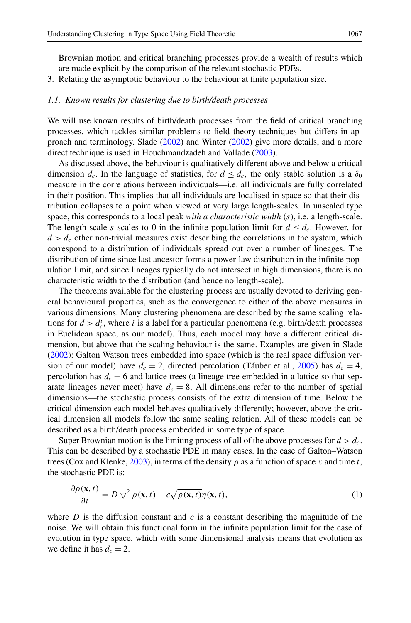<span id="page-2-0"></span>3. Relating the asymptotic behaviour to the behaviour at finite population size.

#### *1.1. Known results for clustering due to birth/death processes*

We will use known results of birth/death processes from the field of critical branching processes, which tackles similar problems to field theory techniques but differs in approach and terminology. Slade [\(2002](#page-16-0)) and Winter ([2002\)](#page-16-0) give more details, and a more direct technique is used in Houchmandzadeh and Vallade ([2003\)](#page-16-0).

As discussed above, the behaviour is qualitatively different above and below a critical dimension  $d_c$ . In the language of statistics, for  $d \leq d_c$ , the only stable solution is a  $\delta_0$ measure in the correlations between individuals—i.e. all individuals are fully correlated in their position. This implies that all individuals are localised in space so that their distribution collapses to a point when viewed at very large length-scales. In unscaled type space, this corresponds to a local peak *with a characteristic width* (s), i.e. a length-scale. The length-scale s scales to 0 in the infinite population limit for  $d \leq d_c$ . However, for  $d > d_c$  other non-trivial measures exist describing the correlations in the system, which correspond to a distribution of individuals spread out over a number of lineages. The distribution of time since last ancestor forms a power-law distribution in the infinite population limit, and since lineages typically do not intersect in high dimensions, there is no characteristic width to the distribution (and hence no length-scale).

The theorems available for the clustering process are usually devoted to deriving general behavioural properties, such as the convergence to either of the above measures in various dimensions. Many clustering phenomena are described by the same scaling relations for  $d > d_c^i$ , where i is a label for a particular phenomena (e.g. birth/death processes in Euclidean space, as our model). Thus, each model may have a different critical dimension, but above that the scaling behaviour is the same. Examples are given in Slade ([2002\)](#page-16-0): Galton Watson trees embedded into space (which is the real space diffusion version of our model) have  $d_c = 2$ , directed percolation (Tauber et al., [2005](#page-16-0)) has  $d_c = 4$ , percolation has  $d_c = 6$  and lattice trees (a lineage tree embedded in a lattice so that separate lineages never meet) have  $d_c = 8$ . All dimensions refer to the number of spatial dimensions—the stochastic process consists of the extra dimension of time. Below the critical dimension each model behaves qualitatively differently; however, above the critical dimension all models follow the same scaling relation. All of these models can be described as a birth/death process embedded in some type of space.

Super Brownian motion is the limiting process of all of the above processes for  $d > d_c$ . This can be described by a stochastic PDE in many cases. In the case of Galton–Watson trees (Cox and Klenke, [2003\)](#page-15-0), in terms of the density  $\rho$  as a function of space x and time t, the stochastic PDE is:

$$
\frac{\partial \rho(\mathbf{x},t)}{\partial t} = D \nabla^2 \rho(\mathbf{x},t) + c \sqrt{\rho(\mathbf{x},t)} \eta(\mathbf{x},t),
$$
\n(1)

where  $D$  is the diffusion constant and  $c$  is a constant describing the magnitude of the noise. We will obtain this functional form in the infinite population limit for the case of evolution in type space, which with some dimensional analysis means that evolution as we define it has  $d_c = 2$ .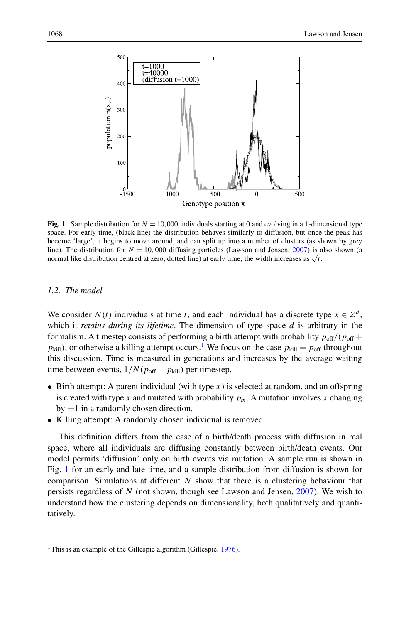

**Fig. 1** Sample distribution for  $N = 10,000$  individuals starting at 0 and evolving in a 1-dimensional type space. For early time, (black line) the distribution behaves similarly to diffusion, but once the peak has become 'large', it begins to move around, and can split up into a number of clusters (as shown by grey line). The distribution for  $N = 10,000$  diffusing particles (Lawson and Jensen, [2007\)](#page-16-0) is also shown (a normal like distribution centred at zero, dotted line) at early time; the width increases as  $\sqrt{t}$ .

# *1.2. The model*

We consider  $N(t)$  individuals at time t, and each individual has a discrete type  $x \in \mathbb{Z}^d$ , which it *retains during its lifetime*. The dimension of type space d is arbitrary in the formalism. A timestep consists of performing a birth attempt with probability  $p_{off}/(p_{off} + p_{off})$  $p_{\text{kill}}$ ), or otherwise a killing attempt occurs.<sup>1</sup> We focus on the case  $p_{\text{kill}} = p_{\text{off}}$  throughout this discussion. Time is measured in generations and increases by the average waiting time between events,  $1/N(p_{off} + p_{kill})$  per timestep.

- Birth attempt: A parent individual (with type  $x$ ) is selected at random, and an offspring is created with type x and mutated with probability  $p_m$ . A mutation involves x changing by  $\pm 1$  in a randomly chosen direction.
- Killing attempt: A randomly chosen individual is removed.

This definition differs from the case of a birth/death process with diffusion in real space, where all individuals are diffusing constantly between birth/death events. Our model permits 'diffusion' only on birth events via mutation. A sample run is shown in Fig. 1 for an early and late time, and a sample distribution from diffusion is shown for comparison. Simulations at different  $N$  show that there is a clustering behaviour that persists regardless of  $N$  (not shown, though see Lawson and Jensen, [2007\)](#page-16-0). We wish to understand how the clustering depends on dimensionality, both qualitatively and quantitatively.

<sup>&</sup>lt;sup>1</sup>This is an example of the Gillespie algorithm (Gillespie,  $1976$ ).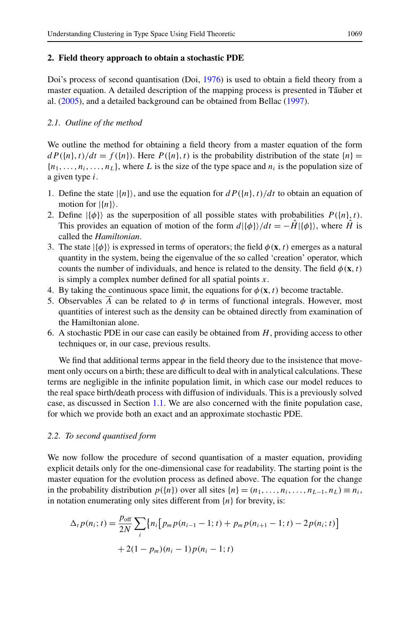## **2. Field theory approach to obtain a stochastic PDE**

Doi's process of second quantisation (Doi, [1976](#page-15-0)) is used to obtain a field theory from a master equation. A detailed description of the mapping process is presented in Tauber et al. ([2005](#page-16-0)), and a detailed background can be obtained from Bellac ([1997](#page-16-0)).

## *2.1. Outline of the method*

We outline the method for obtaining a field theory from a master equation of the form  $dP({n},t)/dt = f({n}).$  Here  $P({n},t)$  is the probability distribution of the state  ${n}$  ${n_1, \ldots, n_i, \ldots, n_\ell}$ , where L is the size of the type space and  $n_i$  is the population size of a given type i.

- 1. Define the state  $|\{n\}\rangle$ , and use the equation for  $dP(\{n\},t)/dt$  to obtain an equation of motion for  $|\{n\}\rangle$ .
- 2. Define  $|\{\phi\}\rangle$  as the superposition of all possible states with probabilities  $P(\{n\},t)$ . This provides an equation of motion of the form  $d\vert {\phi}\rangle/dt = -H|\phi\rangle$ , where H<sup>†</sup> is called the *Hamiltonian*.
- 3. The state  $|\{\phi\}\rangle$  is expressed in terms of operators; the field  $\phi(\mathbf{x},t)$  emerges as a natural quantity in the system, being the eigenvalue of the so called 'creation' operator, which counts the number of individuals, and hence is related to the density. The field  $\phi(\mathbf{x},t)$ is simply a complex number defined for all spatial points  $x$ .
- 4. By taking the continuous space limit, the equations for  $\phi(\mathbf{x},t)$  become tractable.
- 5. Observables  $\overline{A}$  can be related to  $\phi$  in terms of functional integrals. However, most quantities of interest such as the density can be obtained directly from examination of the Hamiltonian alone.
- 6. A stochastic PDE in our case can easily be obtained from  $H$ , providing access to other techniques or, in our case, previous results.

We find that additional terms appear in the field theory due to the insistence that movement only occurs on a birth; these are difficult to deal with in analytical calculations. These terms are negligible in the infinite population limit, in which case our model reduces to the real space birth/death process with diffusion of individuals. This is a previously solved case, as discussed in Section [1.1](#page-2-0). We are also concerned with the finite population case, for which we provide both an exact and an approximate stochastic PDE.

## *2.2. To second quantised form*

We now follow the procedure of second quantisation of a master equation, providing explicit details only for the one-dimensional case for readability. The starting point is the master equation for the evolution process as defined above. The equation for the change in the probability distribution  $p({n})$  over all sites  ${n} = (n_1, \ldots, n_i, \ldots, n_{L-1}, n_L) \equiv n_i$ , in notation enumerating only sites different from  $\{n\}$  for brevity, is:

$$
\Delta_t p(n_i; t) = \frac{p_{\text{off}}}{2N} \sum_i \{ n_i \big[ p_m p(n_{i-1} - 1; t) + p_m p(n_{i+1} - 1; t) - 2p(n_i; t) \big] + 2(1 - p_m)(n_i - 1) p(n_i - 1; t)
$$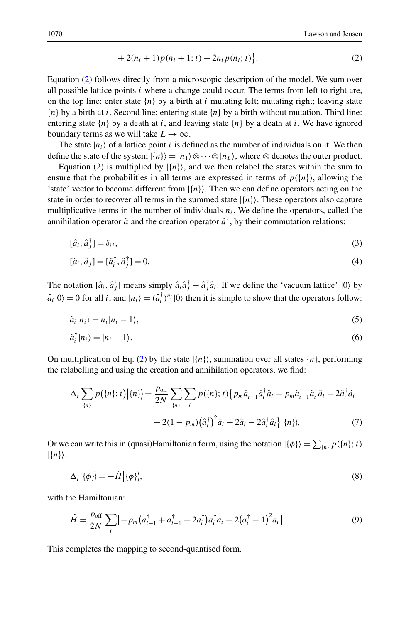$$
+ 2(ni + 1) p(ni + 1; t) - 2ni p(ni; t) \n\}.
$$
\n(2)

Equation (2) follows directly from a microscopic description of the model. We sum over all possible lattice points  $i$  where a change could occur. The terms from left to right are, on the top line: enter state  $\{n\}$  by a birth at i mutating left; mutating right; leaving state  ${n}$  by a birth at i. Second line: entering state  ${n}$  by a birth without mutation. Third line: entering state  $\{n\}$  by a death at i, and leaving state  $\{n\}$  by a death at i. We have ignored boundary terms as we will take  $L \to \infty$ .

The state  $|n_i\rangle$  of a lattice point i is defined as the number of individuals on it. We then define the state of the system  $|\{n\}\rangle = |n_1\rangle \otimes \cdots \otimes |n_L\rangle$ , where  $\otimes$  denotes the outer product.

Equation (2) is multiplied by  $|\{n\}\rangle$ , and we then relabel the states within the sum to ensure that the probabilities in all terms are expressed in terms of  $p(\lbrace n \rbrace)$ , allowing the 'state' vector to become different from  $|\{n\}\rangle$ . Then we can define operators acting on the state in order to recover all terms in the summed state  $|\{n\}\rangle$ . These operators also capture multiplicative terms in the number of individuals  $n_i$ . We define the operators, called the annihilation operator  $\hat{a}$  and the creation operator  $\hat{a}^{\dagger}$ , by their commutation relations:

$$
[\hat{a}_i, \hat{a}_j^\dagger] = \delta_{ij},\tag{3}
$$

$$
[\hat{a}_i, \hat{a}_j] = [\hat{a}_i^{\dagger}, \hat{a}_j^{\dagger}] = 0.
$$
\n(4)

The notation  $[\hat{a}_i, \hat{a}_j^{\dagger}]$  means simply  $\hat{a}_i \hat{a}_j^{\dagger} - \hat{a}_j^{\dagger} \hat{a}_i$ . If we define the 'vacuum lattice'  $|0\rangle$  by  $\hat{a}_i|0\rangle = 0$  for all i, and  $|n_i\rangle = (\hat{a}_i^{\dagger})^{n_i}|0\rangle$  then it is simple to show that the operators follow:

$$
\hat{a}_i | n_i \rangle = n_i | n_i - 1 \rangle,\tag{5}
$$

$$
\hat{a}_i^{\dagger} |n_i\rangle = |n_i + 1\rangle. \tag{6}
$$

On multiplication of Eq. (2) by the state  $\{n\}$ , summation over all states  $\{n\}$ , performing the relabelling and using the creation and annihilation operators, we find:

$$
\Delta_{t} \sum_{\{n\}} p(\{n\};t) |\{n\}\rangle = \frac{p_{\text{off}}}{2N} \sum_{\{n\}} \sum_{i} p(\{n\};t) \{p_{m} \hat{a}_{i-1}^{\dagger} \hat{a}_{i}^{\dagger} \hat{a}_{i} + p_{m} \hat{a}_{i-1}^{\dagger} \hat{a}_{i}^{\dagger} \hat{a}_{i} - 2 \hat{a}_{i}^{\dagger} \hat{a}_{i} + 2(1 - p_{m}) (\hat{a}_{i}^{\dagger})^{2} \hat{a}_{i} + 2 \hat{a}_{i} - 2 \hat{a}_{i}^{\dagger} \hat{a}_{i} \}| \{n\}, \tag{7}
$$

Or we can write this in (quasi)Hamiltonian form, using the notation  $|\{\phi\}\rangle = \sum_{\{n\}} p(\{n\};t)$  $|\{n\}\rangle$ :

$$
\Delta_t |\{\phi\}\rangle = -\hat{H} |\{\phi\}\rangle,\tag{8}
$$

with the Hamiltonian:

$$
\hat{H} = \frac{p_{\text{off}}}{2N} \sum_{i} \left[ -p_m \left( a_{i-1}^{\dagger} + a_{i+1}^{\dagger} - 2a_i^{\dagger} \right) a_i^{\dagger} a_i - 2\left( a_i^{\dagger} - 1 \right)^2 a_i \right]. \tag{9}
$$

This completes the mapping to second-quantised form.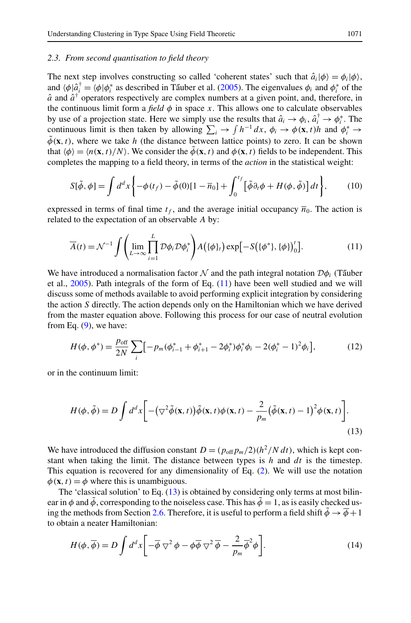## <span id="page-6-0"></span>*2.3. From second quantisation to field theory*

The next step involves constructing so called 'coherent states' such that  $\hat{a}_i|\phi\rangle = \phi_i|\phi\rangle$ , and  $\langle \phi | \hat{a}_i^\dagger = \langle \phi | \phi_i^*$  as described in Tấuber et al. ([2005\)](#page-16-0). The eigenvalues  $\phi_i$  and  $\phi_i^*$  of the  $\hat{a}$  and  $\hat{a}^{\dagger}$  operators respectively are complex numbers at a given point, and, therefore, in the continuous limit form a *field*  $\phi$  in space x. This allows one to calculate observables by use of a projection state. Here we simply use the results that  $\hat{a}_i \to \phi_i$ ,  $\hat{a}_i^{\dagger} \to \phi_i^*$ . The continuous limit is then taken by allowing  $\sum_i \to \int h^{-1} dx$ ,  $\phi_i \to \phi(\mathbf{x}, t)h$  and  $\phi_i^* \to$  $\tilde{\phi}(\mathbf{x},t)$ , where we take h (the distance between lattice points) to zero. It can be shown that  $\langle \phi \rangle = \langle n(\mathbf{x},t)/N \rangle$ . We consider the  $\tilde{\phi}(\mathbf{x},t)$  and  $\phi(\mathbf{x},t)$  fields to be independent. This completes the mapping to a field theory, in terms of the *action* in the statistical weight:

$$
S[\tilde{\phi}, \phi] = \int d^d x \left\{ -\phi(t_f) - \tilde{\phi}(0)[1 - \overline{n}_0] + \int_0^{t_f} \left[ \tilde{\phi} \partial_t \phi + H(\phi, \tilde{\phi}) \right] dt \right\},\tag{10}
$$

expressed in terms of final time  $t_f$ , and the average initial occupancy  $\overline{n}_0$ . The action is related to the expectation of an observable A by:

$$
\overline{A}(t) = \mathcal{N}^{-1} \int \left( \lim_{L \to \infty} \prod_{i=1}^{L} \mathcal{D}\phi_i \mathcal{D}\phi_i^* \right) A(\{\phi\}_t) \exp[-S(\{\phi^*\}, \{\phi\})'_0]. \tag{11}
$$

We have introduced a normalisation factor  $\mathcal N$  and the path integral notation  $\mathcal D\phi_i$  (Tauber et al., [2005](#page-16-0)). Path integrals of the form of Eq. (11) have been well studied and we will discuss some of methods available to avoid performing explicit integration by considering the action S directly. The action depends only on the Hamiltonian which we have derived from the master equation above. Following this process for our case of neutral evolution from Eq.  $(9)$ , we have:

$$
H(\phi, \phi^*) = \frac{p_{\text{off}}}{2N} \sum_{i} \left[ -p_m(\phi_{i-1}^* + \phi_{i+1}^* - 2\phi_i^*)\phi_i^* \phi_i - 2(\phi_i^* - 1)^2 \phi_i \right],\tag{12}
$$

or in the continuum limit:

$$
H(\phi, \tilde{\phi}) = D \int d^d x \bigg[ -(\nabla^2 \tilde{\phi}(\mathbf{x}, t)) \tilde{\phi}(\mathbf{x}, t) \phi(\mathbf{x}, t) - \frac{2}{p_m} (\tilde{\phi}(\mathbf{x}, t) - 1)^2 \phi(\mathbf{x}, t) \bigg].
$$
\n(13)

We have introduced the diffusion constant  $D = (p_{off}p_m/2)(h^2/N dt)$ , which is kept constant when taking the limit. The distance between types is  $h$  and  $dt$  is the timestep. This equation is recovered for any dimensionality of Eq. (2). We will use the notation  $\phi(\mathbf{x},t) = \phi$  where this is unambiguous.

The 'classical solution' to Eq.  $(13)$  is obtained by considering only terms at most bilinear in  $\phi$  and  $\tilde{\phi}$ , corresponding to the noiseless case. This has  $\tilde{\phi} = 1$ , as is easily checked us-ing the methods from Section [2.6.](#page-11-0) Therefore, it is useful to perform a field shift  $\phi \rightarrow \phi + 1$ to obtain a neater Hamiltonian:

$$
H(\phi, \overline{\phi}) = D \int d^d x \left[ -\overline{\phi} \nabla^2 \phi - \phi \overline{\phi} \nabla^2 \overline{\phi} - \frac{2}{p_m} \overline{\phi}^2 \phi \right].
$$
 (14)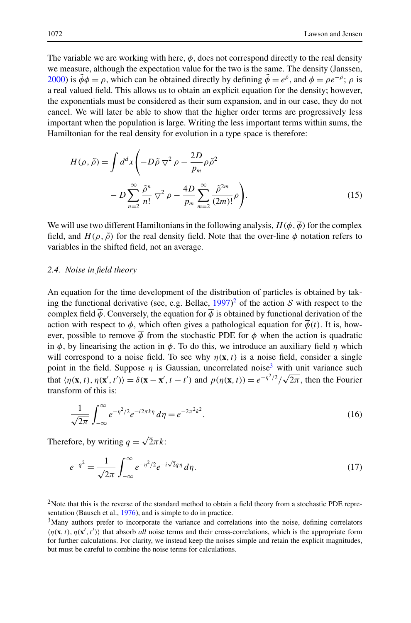<span id="page-7-0"></span>The variable we are working with here,  $\phi$ , does not correspond directly to the real density we measure, although the expectation value for the two is the same. The density (Janssen, [2000\)](#page-16-0) is  $\phi \phi = \rho$ , which can be obtained directly by defining  $\phi = e^{\rho}$ , and  $\phi = \rho e^{-\rho}$ ;  $\rho$  is a real valued field. This allows us to obtain an explicit equation for the density; however, the exponentials must be considered as their sum expansion, and in our case, they do not cancel. We will later be able to show that the higher order terms are progressively less important when the population is large. Writing the less important terms within sums, the Hamiltonian for the real density for evolution in a type space is therefore:

$$
H(\rho, \tilde{\rho}) = \int d^d x \left( -D\tilde{\rho} \nabla^2 \rho - \frac{2D}{p_m} \rho \tilde{\rho}^2 - D \sum_{n=2}^{\infty} \frac{\tilde{\rho}^n}{n!} \nabla^2 \rho - \frac{4D}{p_m} \sum_{m=2}^{\infty} \frac{\tilde{\rho}^{2m}}{(2m)!} \rho \right).
$$
\n(15)

We will use two different Hamiltonians in the following analysis,  $H(\phi, \overline{\phi})$  for the complex field, and  $H(\rho, \tilde{\rho})$  for the real density field. Note that the over-line  $\overline{\phi}$  notation refers to variables in the shifted field, not an average.

## *2.4. Noise in field theory*

An equation for the time development of the distribution of particles is obtained by taking the functional derivative (see, e.g. Bellac,  $1997)^2$  $1997)^2$  of the action S with respect to the complex field  $\overline{\phi}$ . Conversely, the equation for  $\overline{\phi}$  is obtained by functional derivation of the action with respect to  $\phi$ , which often gives a pathological equation for  $\phi(t)$ . It is, however, possible to remove  $\phi$  from the stochastic PDE for  $\phi$  when the action is quadratic in  $\phi$ , by linearising the action in  $\overline{\phi}$ . To do this, we introduce an auxiliary field  $\eta$  which will correspond to a noise field. To see why  $\eta(\mathbf{x},t)$  is a noise field, consider a single point in the field. Suppose  $\eta$  is Gaussian, uncorrelated noise<sup>3</sup> with unit variance such that  $\langle \eta(\mathbf{x}, t), \eta(\mathbf{x}', t') \rangle = \delta(\mathbf{x} - \mathbf{x}', t - t')$  and  $p(\eta(\mathbf{x}, t)) = e^{-\eta^2/2}/\sqrt{2\pi}$ , then the Fourier transform of this is:

$$
\frac{1}{\sqrt{2\pi}} \int_{-\infty}^{\infty} e^{-\eta^2/2} e^{-i2\pi k\eta} d\eta = e^{-2\pi^2 k^2}.
$$
 (16)

Therefore, by writing  $q = \sqrt{2\pi k}$ :

$$
e^{-q^2} = \frac{1}{\sqrt{2\pi}} \int_{-\infty}^{\infty} e^{-\eta^2/2} e^{-i\sqrt{2}q\eta} d\eta.
$$
 (17)

<sup>&</sup>lt;sup>2</sup>Note that this is the reverse of the standard method to obtain a field theory from a stochastic PDE repre-sentation (Bausch et al., [1976](#page-15-0)), and is simple to do in practice.

<sup>&</sup>lt;sup>3</sup>Many authors prefer to incorporate the variance and correlations into the noise, defining correlators  $\langle \eta(\mathbf{x},t), \eta(\mathbf{x}',t') \rangle$  that absorb *all* noise terms and their cross-correlations, which is the appropriate form for further calculations. For clarity, we instead keep the noises simple and retain the explicit magnitudes, but must be careful to combine the noise terms for calculations.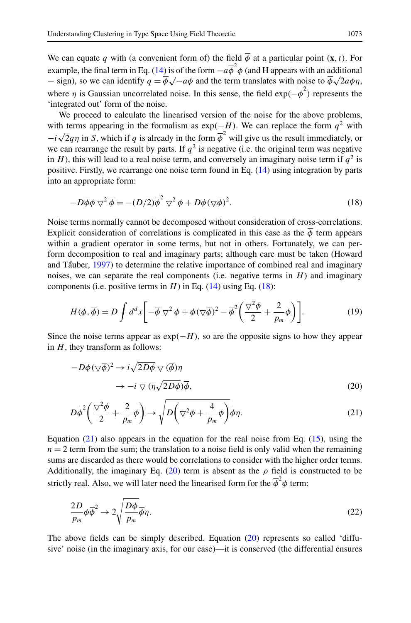We can equate q with (a convenient form of) the field  $\overline{\phi}$  at a particular point  $(\mathbf{x},t)$ . For example, the final term in Eq. (14) is of the form  $-a\overline{\phi}^2\phi$  (and H appears with an additional – sign), so we can identify  $q = \phi \sqrt{-a\phi}$  and the term translates with noise to  $\phi \sqrt{2a\phi} \eta$ , where  $\eta$  is Gaussian uncorrelated noise. In this sense, the field  $\exp(-\overline{\phi}^2)$  represents the 'integrated out' form of the noise.

We proceed to calculate the linearised version of the noise for the above problems, with terms appearing in the formalism as  $exp(-H)$ . We can replace the form  $q^2$  with  $-i\sqrt{2}q\eta$  in S, which if q is already in the form  $\overline{\phi}^2$  will give us the result immediately, or we can rearrange the result by parts. If  $q^2$  is negative (i.e. the original term was negative in H), this will lead to a real noise term, and conversely an imaginary noise term if  $q^2$  is positive. Firstly, we rearrange one noise term found in Eq. (14) using integration by parts into an appropriate form:

$$
-D\overline{\phi}\phi\bigtriangledown^{2}\overline{\phi} = -(D/2)\overline{\phi}^{2}\bigtriangledown^{2}\phi + D\phi(\bigtriangledown\overline{\phi})^{2}.
$$
\n(18)

Noise terms normally cannot be decomposed without consideration of cross-correlations. Explicit consideration of correlations is complicated in this case as the  $\phi$  term appears within a gradient operator in some terms, but not in others. Fortunately, we can perform decomposition to real and imaginary parts; although care must be taken (Howard and Tấuber, [1997](#page-16-0)) to determine the relative importance of combined real and imaginary noises, we can separate the real components (i.e. negative terms in  $H$ ) and imaginary components (i.e. positive terms in  $H$ ) in Eq. (14) using Eq. (18):

$$
H(\phi, \overline{\phi}) = D \int d^d x \left[ -\overline{\phi} \nabla^2 \phi + \phi (\nabla \overline{\phi})^2 - \overline{\phi}^2 \left( \frac{\nabla^2 \phi}{2} + \frac{2}{p_m} \phi \right) \right].
$$
 (19)

Since the noise terms appear as  $\exp(-H)$ , so are the opposite signs to how they appear in  $H$ , they transform as follows:

$$
-D\phi(\nabla\overline{\phi})^2 \to i\sqrt{2D\phi} \nabla(\overline{\phi})\eta
$$
  

$$
\to -i \nabla(\eta\sqrt{2D\phi})\overline{\phi},
$$
 (20)

$$
D\overline{\phi}^{2}\left(\frac{\nabla^{2}\phi}{2}+\frac{2}{p_{m}}\phi\right)\to\sqrt{D\left(\nabla^{2}\phi+\frac{4}{p_{m}}\phi\right)}\overline{\phi}\eta.
$$
\n(21)

Equation  $(21)$  also appears in the equation for the real noise from Eq.  $(15)$ , using the  $n = 2$  term from the sum; the translation to a noise field is only valid when the remaining sums are discarded as there would be correlations to consider with the higher order terms. Additionally, the imaginary Eq. (20) term is absent as the  $\rho$  field is constructed to be strictly real. Also, we will later need the linearised form for the  $\overline{\phi}^2 \phi$  term:

$$
\frac{2D}{p_m}\phi\overline{\phi}^2 \to 2\sqrt{\frac{D\phi}{p_m}}\overline{\phi}\eta. \tag{22}
$$

The above fields can be simply described. Equation (20) represents so called 'diffusive' noise (in the imaginary axis, for our case)—it is conserved (the differential ensures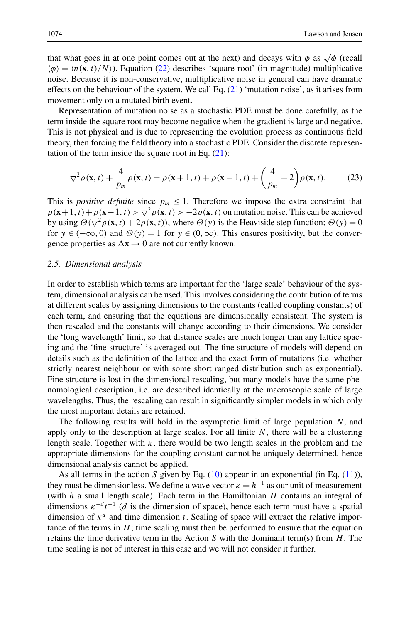that what goes in at one point comes out at the next) and decays with  $\phi$  as  $\sqrt{\phi}$  (recall  $\langle \phi \rangle = \langle n(\mathbf{x},t)/N \rangle$ ). Equation (22) describes 'square-root' (in magnitude) multiplicative noise. Because it is non-conservative, multiplicative noise in general can have dramatic effects on the behaviour of the system. We call Eq. (21) 'mutation noise', as it arises from movement only on a mutated birth event.

Representation of mutation noise as a stochastic PDE must be done carefully, as the term inside the square root may become negative when the gradient is large and negative. This is not physical and is due to representing the evolution process as continuous field theory, then forcing the field theory into a stochastic PDE. Consider the discrete representation of the term inside the square root in Eq.  $(21)$ :

$$
\nabla^2 \rho(\mathbf{x}, t) + \frac{4}{p_m} \rho(\mathbf{x}, t) = \rho(\mathbf{x} + 1, t) + \rho(\mathbf{x} - 1, t) + \left(\frac{4}{p_m} - 2\right) \rho(\mathbf{x}, t). \tag{23}
$$

This is *positive definite* since  $p_m \leq 1$ . Therefore we impose the extra constraint that  $\rho$  (**x**+1, t) +  $\rho$ (**x**−1, t) >  $\bigtriangledown^2 \rho$ (**x**, t) > −2 $\rho$ (**x**, t) on mutation noise. This can be achieved by using  $\Theta(\nabla^2 \rho(\mathbf{x},t) + 2\rho(\mathbf{x},t))$ , where  $\Theta(y)$  is the Heaviside step function;  $\Theta(y) = 0$ for  $y \in (-\infty, 0)$  and  $\Theta(y) = 1$  for  $y \in (0, \infty)$ . This ensures positivity, but the convergence properties as  $\Delta x \rightarrow 0$  are not currently known.

#### *2.5. Dimensional analysis*

In order to establish which terms are important for the 'large scale' behaviour of the system, dimensional analysis can be used. This involves considering the contribution of terms at different scales by assigning dimensions to the constants (called coupling constants) of each term, and ensuring that the equations are dimensionally consistent. The system is then rescaled and the constants will change according to their dimensions. We consider the 'long wavelength' limit, so that distance scales are much longer than any lattice spacing and the 'fine structure' is averaged out. The fine structure of models will depend on details such as the definition of the lattice and the exact form of mutations (i.e. whether strictly nearest neighbour or with some short ranged distribution such as exponential). Fine structure is lost in the dimensional rescaling, but many models have the same phenomological description, i.e. are described identically at the macroscopic scale of large wavelengths. Thus, the rescaling can result in significantly simpler models in which only the most important details are retained.

The following results will hold in the asymptotic limit of large population  $N$ , and apply only to the description at large scales. For all finite  $N$ , there will be a clustering length scale. Together with  $\kappa$ , there would be two length scales in the problem and the appropriate dimensions for the coupling constant cannot be uniquely determined, hence dimensional analysis cannot be applied.

As all terms in the action S given by Eq.  $(10)$  appear in an exponential (in Eq.  $(11)$ ), they must be dimensionless. We define a wave vector  $\kappa = h^{-1}$  as our unit of measurement (with  $h$  a small length scale). Each term in the Hamiltonian  $H$  contains an integral of dimensions  $\kappa^{-d} t^{-1}$  (d is the dimension of space), hence each term must have a spatial dimension of  $\kappa^d$  and time dimension t. Scaling of space will extract the relative importance of the terms in  $H$ ; time scaling must then be performed to ensure that the equation retains the time derivative term in the Action S with the dominant term(s) from  $H$ . The time scaling is not of interest in this case and we will not consider it further.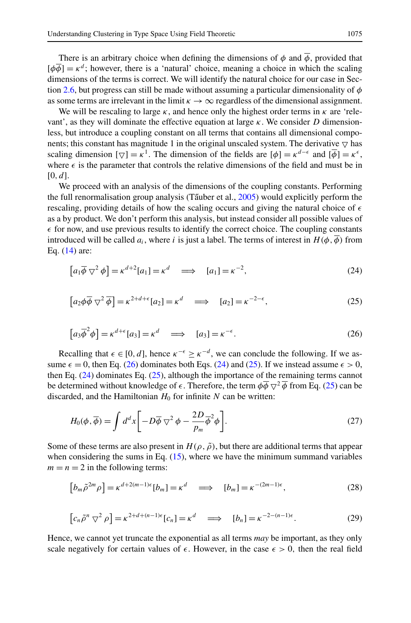There is an arbitrary choice when defining the dimensions of  $\phi$  and  $\overline{\phi}$ , provided that  $\lbrack \phi \overline{\phi} \rbrack = \kappa^d$ ; however, there is a 'natural' choice, meaning a choice in which the scaling dimensions of the terms is correct. We will identify the natural choice for our case in Sec-tion [2.6,](#page-11-0) but progress can still be made without assuming a particular dimensionality of  $\phi$ as some terms are irrelevant in the limit  $\kappa \to \infty$  regardless of the dimensional assignment.

We will be rescaling to large  $\kappa$ , and hence only the highest order terms in  $\kappa$  are 'relevant', as they will dominate the effective equation at large  $\kappa$ . We consider D dimensionless, but introduce a coupling constant on all terms that contains all dimensional components; this constant has magnitude 1 in the original unscaled system. The derivative  $\nabla$  has scaling dimension  $[\nabla] = \kappa^1$ . The dimension of the fields are  $[\phi] = \kappa^{d-\epsilon}$  and  $[\phi] = \kappa^{\epsilon}$ . where  $\epsilon$  is the parameter that controls the relative dimensions of the field and must be in  $[0, d]$ .

We proceed with an analysis of the dimensions of the coupling constants. Performing the full renormalisation group analysis (Tauber et al.,  $2005$ ) would explicitly perform the rescaling, providing details of how the scaling occurs and giving the natural choice of  $\epsilon$ as a by product. We don't perform this analysis, but instead consider all possible values of  $\epsilon$  for now, and use previous results to identify the correct choice. The coupling constants introduced will be called  $a_i$ , where i is just a label. The terms of interest in  $H(\phi,\overline{\phi})$  from Eq. (14) are:

$$
[a_1 \overline{\phi} \nabla^2 \phi] = \kappa^{d+2} [a_1] = \kappa^d \implies [a_1] = \kappa^{-2}, \tag{24}
$$

$$
\left[a_2\phi\overline{\phi}\nabla^2\overline{\phi}\right] = \kappa^{2+d+\epsilon}[a_2] = \kappa^d \quad \Longrightarrow \quad [a_2] = \kappa^{-2-\epsilon},\tag{25}
$$

$$
[a_3 \overline{\phi}^2 \phi] = \kappa^{d+\epsilon} [a_3] = \kappa^d \implies [a_3] = \kappa^{-\epsilon}.
$$
 (26)

Recalling that  $\epsilon \in [0, d]$ , hence  $\kappa^{-\epsilon} \geq \kappa^{-d}$ , we can conclude the following. If we assume  $\epsilon = 0$ , then Eq. (26) dominates both Eqs. (24) and (25). If we instead assume  $\epsilon > 0$ , then Eq. (24) dominates Eq. (25), although the importance of the remaining terms cannot be determined without knowledge of  $\epsilon$ . Therefore, the term  $\phi \overline{\phi} \nabla^2 \overline{\phi}$  from Eq. (25) can be discarded, and the Hamiltonian  $H_0$  for infinite N can be written:

$$
H_0(\phi, \overline{\phi}) = \int d^d x \left[ -D\overline{\phi} \nabla^2 \phi - \frac{2D}{p_m} \overline{\phi}^2 \phi \right].
$$
 (27)

Some of these terms are also present in  $H(\rho, \tilde{\rho})$ , but there are additional terms that appear when considering the sums in Eq.  $(15)$ , where we have the minimum summand variables  $m = n = 2$  in the following terms:

$$
\left[b_m\tilde{\rho}^{2m}\rho\right] = \kappa^{d+2(m-1)\epsilon}[b_m] = \kappa^d \quad \Longrightarrow \quad [b_m] = \kappa^{-(2m-1)\epsilon},\tag{28}
$$

$$
\left[c_n\tilde{\rho}^n \nabla^2 \rho\right] = \kappa^{2+d+(n-1)\epsilon} \left[c_n\right] = \kappa^d \quad \Longrightarrow \quad \left[b_n\right] = \kappa^{-2-(n-1)\epsilon}.
$$

Hence, we cannot yet truncate the exponential as all terms *may* be important, as they only scale negatively for certain values of  $\epsilon$ . However, in the case  $\epsilon > 0$ , then the real field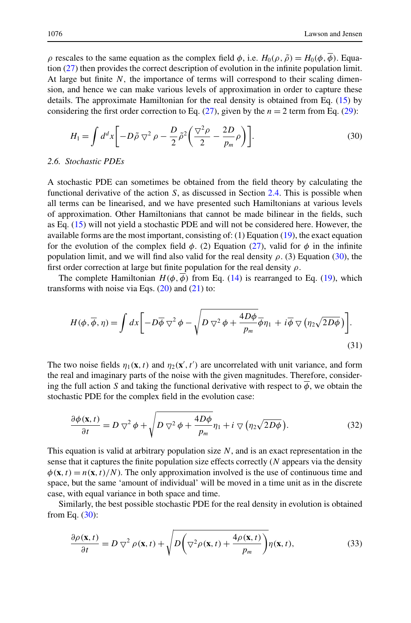<span id="page-11-0"></span>ρ rescales to the same equation as the complex field  $φ$ , i.e.  $H_0(ρ, ό) = H_0(φ, φ)$ . Equation (27) then provides the correct description of evolution in the infinite population limit. At large but finite  $N$ , the importance of terms will correspond to their scaling dimension, and hence we can make various levels of approximation in order to capture these details. The approximate Hamiltonian for the real density is obtained from Eq. (15) by considering the first order correction to Eq. (27), given by the  $n = 2$  term from Eq. (29):

$$
H_1 = \int d^d x \left[ -D\tilde{\rho} \nabla^2 \rho - \frac{D}{2} \tilde{\rho}^2 \left( \frac{\nabla^2 \rho}{2} - \frac{2D}{p_m} \rho \right) \right]. \tag{30}
$$

#### *2.6. Stochastic PDEs*

A stochastic PDE can sometimes be obtained from the field theory by calculating the functional derivative of the action  $S$ , as discussed in Section [2.4.](#page-7-0) This is possible when all terms can be linearised, and we have presented such Hamiltonians at various levels of approximation. Other Hamiltonians that cannot be made bilinear in the fields, such as Eq. (15) will not yield a stochastic PDE and will not be considered here. However, the available forms are the most important, consisting of: (1) Equation (19), the exact equation for the evolution of the complex field  $\phi$ . (2) Equation (27), valid for  $\phi$  in the infinite population limit, and we will find also valid for the real density  $\rho$ . (3) Equation (30), the first order correction at large but finite population for the real density  $\rho$ .

The complete Hamiltonian  $H(\phi, \overline{\phi})$  from Eq. (14) is rearranged to Eq. (19), which transforms with noise via Eqs.  $(20)$  and  $(21)$  to:

$$
H(\phi, \overline{\phi}, \eta) = \int dx \left[ -D\overline{\phi} \nabla^2 \phi - \sqrt{D \nabla^2 \phi + \frac{4D\phi}{p_m} \overline{\phi} \eta_1 + i \overline{\phi} \nabla (\eta_2 \sqrt{2D\phi})} \right].
$$
\n(31)

The two noise fields  $\eta_1(\mathbf{x}, t)$  and  $\eta_2(\mathbf{x}', t')$  are uncorrelated with unit variance, and form the real and imaginary parts of the noise with the given magnitudes. Therefore, considering the full action S and taking the functional derivative with respect to  $\phi$ , we obtain the stochastic PDE for the complex field in the evolution case:

$$
\frac{\partial \phi(\mathbf{x},t)}{\partial t} = D \nabla^2 \phi + \sqrt{D \nabla^2 \phi + \frac{4D\phi}{p_m}} \eta_1 + i \nabla (\eta_2 \sqrt{2D\phi}). \tag{32}
$$

This equation is valid at arbitrary population size  $N$ , and is an exact representation in the sense that it captures the finite population size effects correctly  $(N)$  appears via the density  $\phi(\mathbf{x},t) = n(\mathbf{x},t)/N$ . The only approximation involved is the use of continuous time and space, but the same 'amount of individual' will be moved in a time unit as in the discrete case, with equal variance in both space and time.

Similarly, the best possible stochastic PDE for the real density in evolution is obtained from Eq.  $(30)$ :

$$
\frac{\partial \rho(\mathbf{x},t)}{\partial t} = D \nabla^2 \rho(\mathbf{x},t) + \sqrt{D \left(\nabla^2 \rho(\mathbf{x},t) + \frac{4\rho(\mathbf{x},t)}{p_m}\right)} \eta(\mathbf{x},t),\tag{33}
$$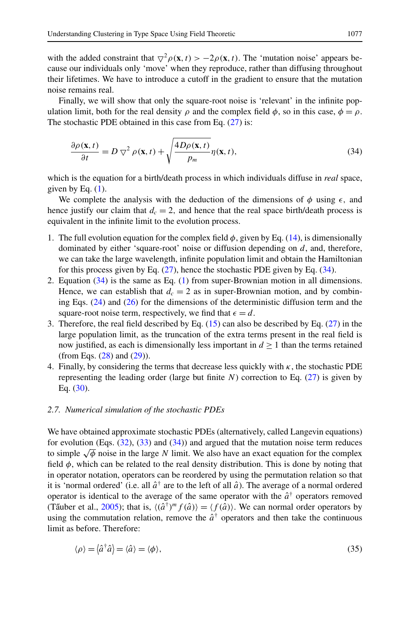with the added constraint that  $\overline{\vee}^2 \rho(\mathbf{x},t) > -2\rho(\mathbf{x},t)$ . The 'mutation noise' appears because our individuals only 'move' when they reproduce, rather than diffusing throughout their lifetimes. We have to introduce a cutoff in the gradient to ensure that the mutation noise remains real.

Finally, we will show that only the square-root noise is 'relevant' in the infinite population limit, both for the real density  $\rho$  and the complex field  $\phi$ , so in this case,  $\phi = \rho$ . The stochastic PDE obtained in this case from Eq. (27) is:

$$
\frac{\partial \rho(\mathbf{x},t)}{\partial t} = D \nabla^2 \rho(\mathbf{x},t) + \sqrt{\frac{4D\rho(\mathbf{x},t)}{p_m}} \eta(\mathbf{x},t),\tag{34}
$$

which is the equation for a birth/death process in which individuals diffuse in *real* space, given by Eq.  $(1)$ .

We complete the analysis with the deduction of the dimensions of  $\phi$  using  $\epsilon$ , and hence justify our claim that  $d_c = 2$ , and hence that the real space birth/death process is equivalent in the infinite limit to the evolution process.

- 1. The full evolution equation for the complex field  $\phi$ , given by Eq. (14), is dimensionally dominated by either 'square-root' noise or diffusion depending on  $d$ , and, therefore, we can take the large wavelength, infinite population limit and obtain the Hamiltonian for this process given by Eq.  $(27)$ , hence the stochastic PDE given by Eq.  $(34)$ .
- 2. Equation (34) is the same as Eq. (1) from super-Brownian motion in all dimensions. Hence, we can establish that  $d_c = 2$  as in super-Brownian motion, and by combining Eqs. (24) and (26) for the dimensions of the deterministic diffusion term and the square-root noise term, respectively, we find that  $\epsilon = d$ .
- 3. Therefore, the real field described by Eq. (15) can also be described by Eq. (27) in the large population limit, as the truncation of the extra terms present in the real field is now justified, as each is dimensionally less important in  $d \geq 1$  than the terms retained (from Eqs. (28) and (29)).
- 4. Finally, by considering the terms that decrease less quickly with  $\kappa$ , the stochastic PDE representing the leading order (large but finite  $N$ ) correction to Eq. (27) is given by Eq. (30).

## *2.7. Numerical simulation of the stochastic PDEs*

We have obtained approximate stochastic PDEs (alternatively, called Langevin equations) for evolution (Eqs.  $(32)$ ,  $(33)$  and  $(34)$ ) and argued that the mutation noise term reduces to simple  $\sqrt{\phi}$  noise in the large N limit. We also have an exact equation for the complex field  $\phi$ , which can be related to the real density distribution. This is done by noting that in operator notation, operators can be reordered by using the permutation relation so that it is 'normal ordered' (i.e. all  $\hat{a}^{\dagger}$  are to the left of all  $\hat{a}$ ). The average of a normal ordered operator is identical to the average of the same operator with the  $\hat{a}^{\dagger}$  operators removed (Tãuber et al., [2005](#page-16-0)); that is,  $\langle (\hat{a}^{\dagger})^m f(\hat{a}) \rangle = \langle f(\hat{a}) \rangle$ . We can normal order operators by using the commutation relation, remove the  $\hat{a}^{\dagger}$  operators and then take the continuous limit as before. Therefore:

$$
\langle \rho \rangle = \langle \hat{a}^\dagger \hat{a} \rangle = \langle \hat{a} \rangle = \langle \phi \rangle,\tag{35}
$$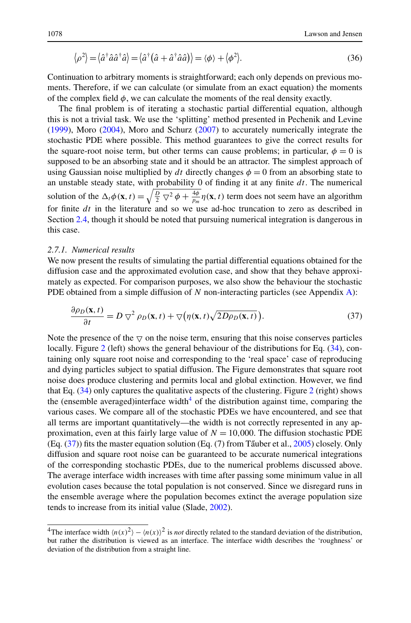$$
\langle \rho^2 \rangle = \langle \hat{a}^\dagger \hat{a} \hat{a}^\dagger \hat{a} \rangle = \langle \hat{a}^\dagger (\hat{a} + \hat{a}^\dagger \hat{a} \hat{a}) \rangle = \langle \phi \rangle + \langle \phi^2 \rangle. \tag{36}
$$

Continuation to arbitrary moments is straightforward; each only depends on previous moments. Therefore, if we can calculate (or simulate from an exact equation) the moments of the complex field  $\phi$ , we can calculate the moments of the real density exactly.

The final problem is of iterating a stochastic partial differential equation, although this is not a trivial task. We use the 'splitting' method presented in Pechenik and Levine ([1999\)](#page-16-0), Moro ([2004](#page-16-0)), Moro and Schurz [\(2007\)](#page-16-0) to accurately numerically integrate the stochastic PDE where possible. This method guarantees to give the correct results for the square-root noise term, but other terms can cause problems; in particular,  $\phi = 0$  is supposed to be an absorbing state and it should be an attractor. The simplest approach of using Gaussian noise multiplied by dt directly changes  $\phi = 0$  from an absorbing state to an unstable steady state, with probability 0 of finding it at any finite  $dt$ . The numerical solution of the  $\Delta_t \phi(\mathbf{x}, t) = \sqrt{\frac{D}{2} \nabla^2 \phi + \frac{4\phi}{p_m}} \eta(\mathbf{x}, t)$  term does not seem have an algorithm for finite  $dt$  in the literature and so we use ad-hoc truncation to zero as described in Section [2.4](#page-7-0), though it should be noted that pursuing numerical integration is dangerous in this case.

# *2.7.1. Numerical results*

We now present the results of simulating the partial differential equations obtained for the diffusion case and the approximated evolution case, and show that they behave approximately as expected. For comparison purposes, we also show the behaviour the stochastic PDE obtained from a simple diffusion of  $N$  non-interacting particles (see Appendix [A\)](#page-15-0):

$$
\frac{\partial \rho_D(\mathbf{x}, t)}{\partial t} = D \nabla^2 \rho_D(\mathbf{x}, t) + \nabla \big( \eta(\mathbf{x}, t) \sqrt{2D \rho_D(\mathbf{x}, t)} \big). \tag{37}
$$

Note the presence of the  $\triangledown$  on the noise term, ensuring that this noise conserves particles locally. Figure [2](#page-14-0) (left) shows the general behaviour of the distributions for Eq. (34), containing only square root noise and corresponding to the 'real space' case of reproducing and dying particles subject to spatial diffusion. The Figure demonstrates that square root noise does produce clustering and permits local and global extinction. However, we find that Eq.  $(34)$  only captures the qualitative aspects of the clustering. Figure [2](#page-14-0) (right) shows the (ensemble averaged)interface width $4$  of the distribution against time, comparing the various cases. We compare all of the stochastic PDEs we have encountered, and see that all terms are important quantitatively—the width is not correctly represented in any approximation, even at this fairly large value of  $N = 10,000$ . The diffusion stochastic PDE (Eq.  $(37)$ ) fits the master equation solution (Eq.  $(7)$  from Tauber et al., [2005\)](#page-16-0) closely. Only diffusion and square root noise can be guaranteed to be accurate numerical integrations of the corresponding stochastic PDEs, due to the numerical problems discussed above. The average interface width increases with time after passing some minimum value in all evolution cases because the total population is not conserved. Since we disregard runs in the ensemble average where the population becomes extinct the average population size tends to increase from its initial value (Slade, [2002](#page-16-0)).

<sup>&</sup>lt;sup>4</sup>The interface width  $\langle n(x)^2 \rangle - \langle n(x) \rangle^2$  is *not* directly related to the standard deviation of the distribution, but rather the distribution is viewed as an interface. The interface width describes the 'roughness' or deviation of the distribution from a straight line.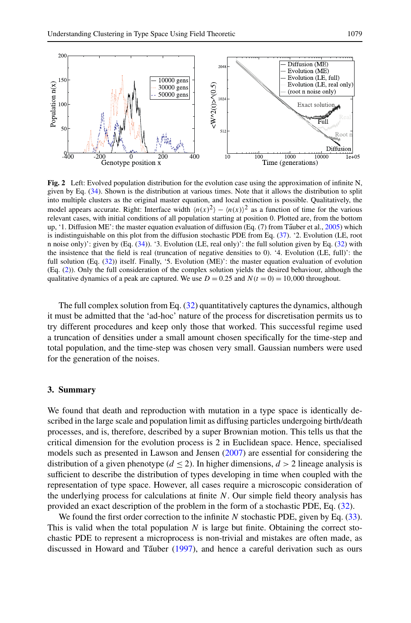<span id="page-14-0"></span>

**Fig. 2** Left: Evolved population distribution for the evolution case using the approximation of infinite N, given by Eq. (34). Shown is the distribution at various times. Note that it allows the distribution to split into multiple clusters as the original master equation, and local extinction is possible. Qualitatively, the model appears accurate. Right: Interface width  $\langle n(x)^2 \rangle - \langle n(x) \rangle^2$  as a function of time for the various relevant cases, with initial conditions of all population starting at position 0. Plotted are, from the bottom up, '1. Diffusion ME': the master equation evaluation of diffusion (Eq.  $(7)$  from Tauber et al., [2005\)](#page-16-0) which is indistinguishable on this plot from the diffusion stochastic PDE from Eq. (37). '2. Evolution (LE, root n noise only)': given by (Eq. (34)). '3. Evolution (LE, real only)': the full solution given by Eq. (32) with the insistence that the field is real (truncation of negative densities to 0). '4. Evolution (LE, full)': the full solution (Eq. (32)) itself. Finally, '5. Evolution (ME)': the master equation evaluation of evolution (Eq. (2)). Only the full consideration of the complex solution yields the desired behaviour, although the qualitative dynamics of a peak are captured. We use  $D = 0.25$  and  $N(t = 0) = 10,000$  throughout.

The full complex solution from Eq. (32) quantitatively captures the dynamics, although it must be admitted that the 'ad-hoc' nature of the process for discretisation permits us to try different procedures and keep only those that worked. This successful regime used a truncation of densities under a small amount chosen specifically for the time-step and total population, and the time-step was chosen very small. Gaussian numbers were used for the generation of the noises.

## **3. Summary**

We found that death and reproduction with mutation in a type space is identically described in the large scale and population limit as diffusing particles undergoing birth/death processes, and is, therefore, described by a super Brownian motion. This tells us that the critical dimension for the evolution process is 2 in Euclidean space. Hence, specialised models such as presented in Lawson and Jensen ([2007\)](#page-16-0) are essential for considering the distribution of a given phenotype  $(d < 2)$ . In higher dimensions,  $d > 2$  lineage analysis is sufficient to describe the distribution of types developing in time when coupled with the representation of type space. However, all cases require a microscopic consideration of the underlying process for calculations at finite  $N$ . Our simple field theory analysis has provided an exact description of the problem in the form of a stochastic PDE, Eq. (32).

We found the first order correction to the infinite  $N$  stochastic PDE, given by Eq. (33). This is valid when the total population  $N$  is large but finite. Obtaining the correct stochastic PDE to represent a microprocess is non-trivial and mistakes are often made, as discussed in Howard and Tauber  $(1997)$  $(1997)$ , and hence a careful derivation such as ours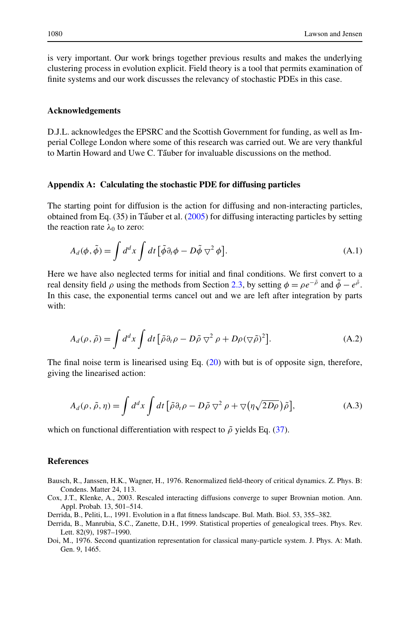<span id="page-15-0"></span>is very important. Our work brings together previous results and makes the underlying clustering process in evolution explicit. Field theory is a tool that permits examination of finite systems and our work discusses the relevancy of stochastic PDEs in this case.

#### **Acknowledgements**

D.J.L. acknowledges the EPSRC and the Scottish Government for funding, as well as Imperial College London where some of this research was carried out. We are very thankful to Martin Howard and Uwe C. Täuber for invaluable discussions on the method.

## **Appendix A: Calculating the stochastic PDE for diffusing particles**

The starting point for diffusion is the action for diffusing and non-interacting particles, obtained from Eq.  $(35)$  in Tauber et al.  $(2005)$  $(2005)$  for diffusing interacting particles by setting the reaction rate  $\lambda_0$  to zero:

$$
A_d(\phi, \tilde{\phi}) = \int d^d x \int dt \left[ \tilde{\phi} \partial_t \phi - D \tilde{\phi} \nabla^2 \phi \right]. \tag{A.1}
$$

Here we have also neglected terms for initial and final conditions. We first convert to a real density field  $\rho$  using the methods from Section [2.3](#page-6-0), by setting  $\phi = \rho e^{-\tilde{\rho}}$  and  $\tilde{\phi} - e^{\tilde{\rho}}$ . In this case, the exponential terms cancel out and we are left after integration by parts with:

$$
A_d(\rho, \tilde{\rho}) = \int d^d x \int dt \left[ \tilde{\rho} \partial_t \rho - D \tilde{\rho} \nabla^2 \rho + D \rho (\nabla \tilde{\rho})^2 \right]. \tag{A.2}
$$

The final noise term is linearised using Eq. (20) with but is of opposite sign, therefore, giving the linearised action:

$$
A_d(\rho, \tilde{\rho}, \eta) = \int d^d x \int dt \left[ \tilde{\rho} \partial_t \rho - D \tilde{\rho} \nabla^2 \rho + \nabla (\eta \sqrt{2D\rho}) \tilde{\rho} \right], \tag{A.3}
$$

which on functional differentiation with respect to  $\tilde{\rho}$  yields Eq. (37).

#### **References**

- Bausch, R., Janssen, H.K., Wagner, H., 1976. Renormalized field-theory of critical dynamics. Z. Phys. B: Condens. Matter 24, 113.
- Cox, J.T., Klenke, A., 2003. Rescaled interacting diffusions converge to super Brownian motion. Ann. Appl. Probab. 13, 501–514.
- Derrida, B., Peliti, L., 1991. Evolution in a flat fitness landscape. Bul. Math. Biol. 53, 355–382.
- Derrida, B., Manrubia, S.C., Zanette, D.H., 1999. Statistical properties of genealogical trees. Phys. Rev. Lett. 82(9), 1987–1990.
- Doi, M., 1976. Second quantization representation for classical many-particle system. J. Phys. A: Math. Gen. 9, 1465.